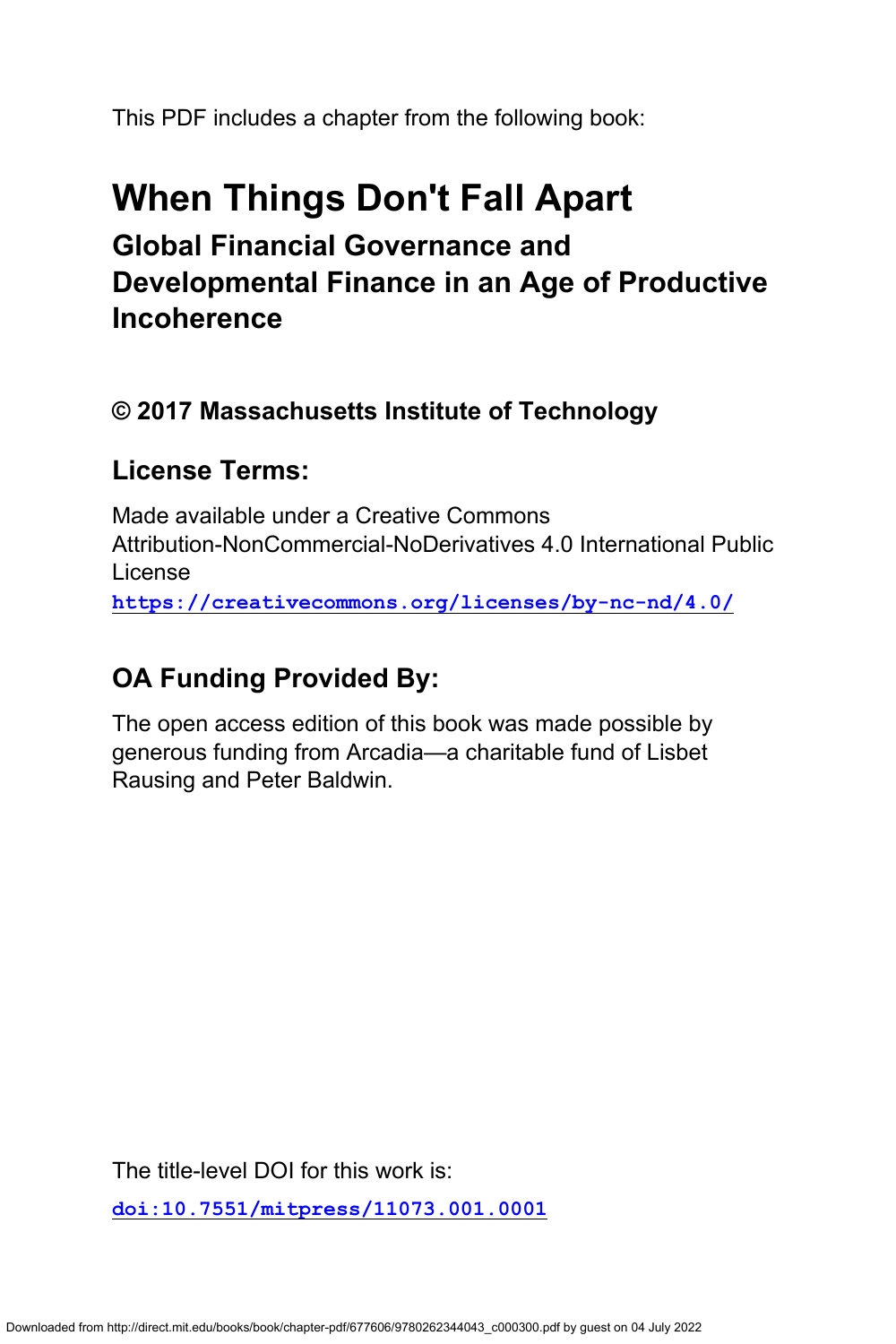This PDF includes a chapter from the following book:

# **When Things Don't Fall Apart Global Financial Governance and Developmental Finance in an Age of Productive Incoherence**

## **© 2017 Massachusetts Institute of Technology**

## **License Terms:**

Made available under a Creative Commons Attribution-NonCommercial-NoDerivatives 4.0 International Public License **<https://creativecommons.org/licenses/by-nc-nd/4.0/>**

## **OA Funding Provided By:**

The open access edition of this book was made possible by generous funding from Arcadia—a charitable fund of Lisbet Rausing and Peter Baldwin.

The title-level DOI for this work is:

**[doi:10.7551/mitpress/11073.001.0001](https://doi.org/10.7551/mitpress/11073.001.0001)**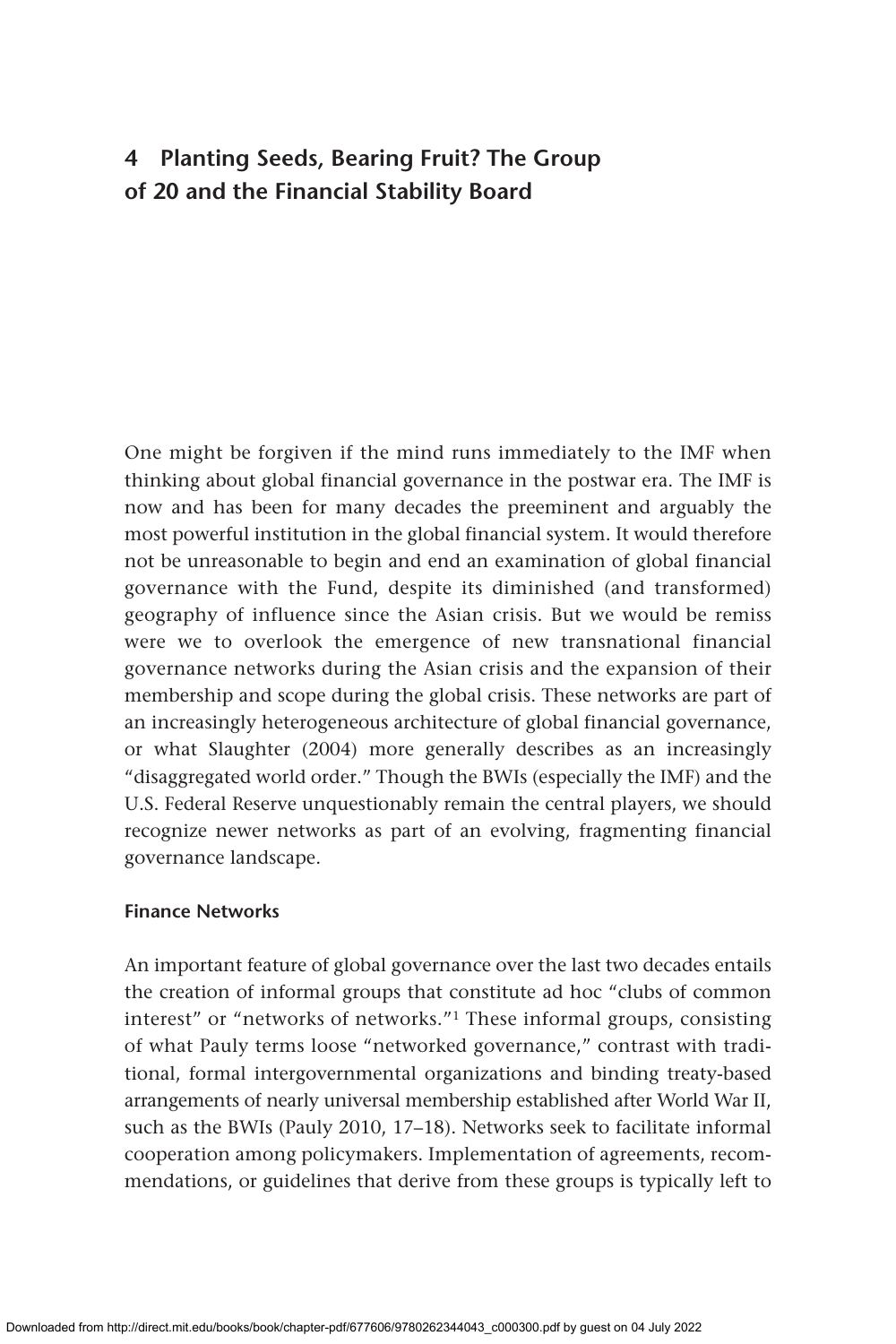### **4 Planting Seeds, Bearing Fruit? The Group of 20 and the Financial Stability Board**

One might be forgiven if the mind runs immediately to the IMF when thinking about global financial governance in the postwar era. The IMF is now and has been for many decades the preeminent and arguably the most powerful institution in the global financial system. It would therefore not be unreasonable to begin and end an examination of global financial governance with the Fund, despite its diminished (and transformed) geography of influence since the Asian crisis. But we would be remiss were we to overlook the emergence of new transnational financial governance networks during the Asian crisis and the expansion of their membership and scope during the global crisis. These networks are part of an increasingly heterogeneous architecture of global financial governance, or what Slaughter (2004) more generally describes as an increasingly "disaggregated world order." Though the BWIs (especially the IMF) and the U.S. Federal Reserve unquestionably remain the central players, we should recognize newer networks as part of an evolving, fragmenting financial governance landscape.

#### **Finance Networks**

An important feature of global governance over the last two decades entails the creation of informal groups that constitute ad hoc "clubs of common interest" or "networks of networks."1 These informal groups, consisting of what Pauly terms loose "networked governance," contrast with traditional, formal intergovernmental organizations and binding treaty-based arrangements of nearly universal membership established after World War II, such as the BWIs (Pauly 2010, 17–18). Networks seek to facilitate informal cooperation among policymakers. Implementation of agreements, recommendations, or guidelines that derive from these groups is typically left to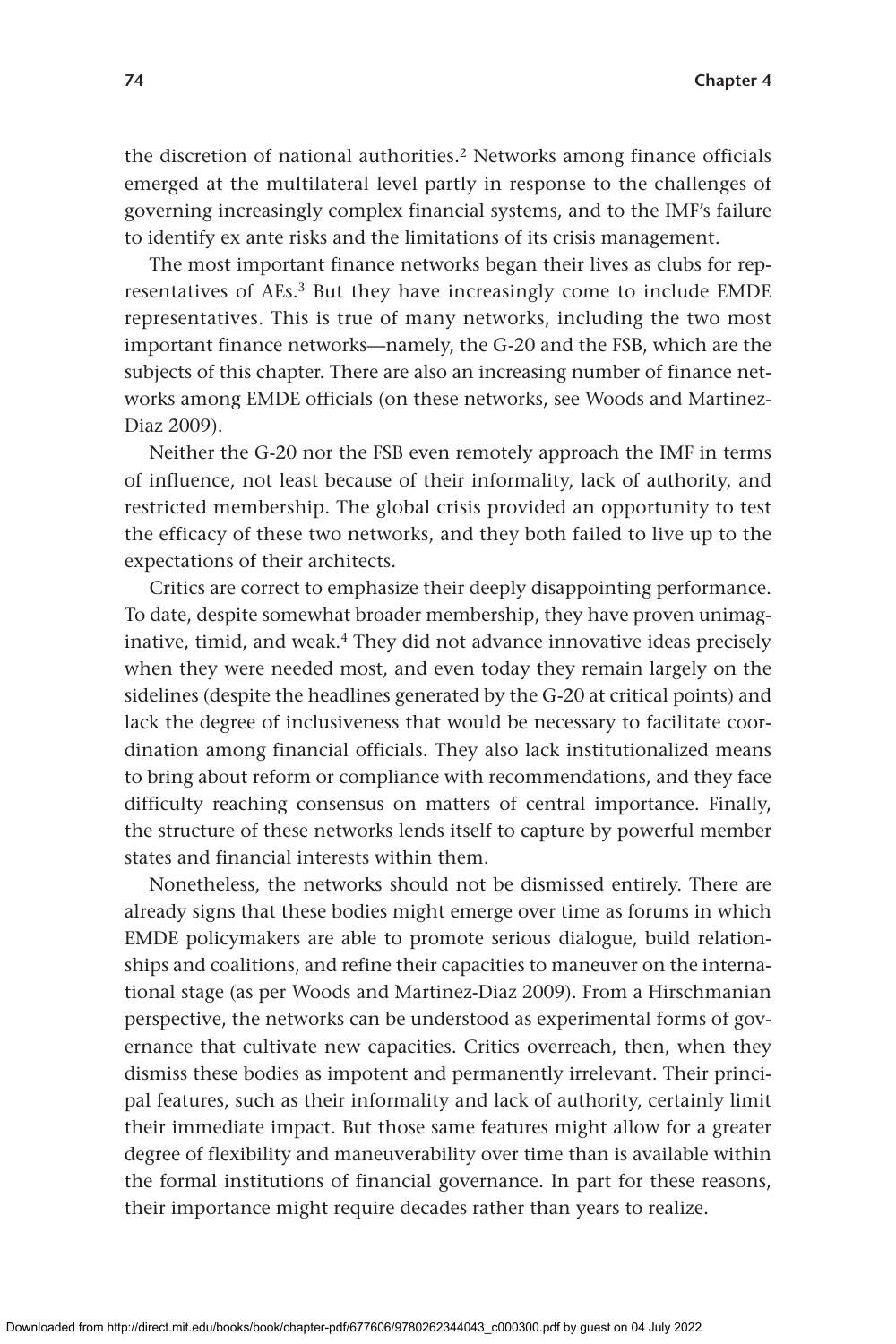the discretion of national authorities.<sup>2</sup> Networks among finance officials emerged at the multilateral level partly in response to the challenges of governing increasingly complex financial systems, and to the IMF's failure to identify ex ante risks and the limitations of its crisis management.

The most important finance networks began their lives as clubs for representatives of AEs.3 But they have increasingly come to include EMDE representatives. This is true of many networks, including the two most important finance networks—namely, the G-20 and the FSB, which are the subjects of this chapter. There are also an increasing number of finance networks among EMDE officials (on these networks, see Woods and Martinez-Diaz 2009).

Neither the G-20 nor the FSB even remotely approach the IMF in terms of influence, not least because of their informality, lack of authority, and restricted membership. The global crisis provided an opportunity to test the efficacy of these two networks, and they both failed to live up to the expectations of their architects.

Critics are correct to emphasize their deeply disappointing performance. To date, despite somewhat broader membership, they have proven unimaginative, timid, and weak.4 They did not advance innovative ideas precisely when they were needed most, and even today they remain largely on the sidelines (despite the headlines generated by the G-20 at critical points) and lack the degree of inclusiveness that would be necessary to facilitate coordination among financial officials. They also lack institutionalized means to bring about reform or compliance with recommendations, and they face difficulty reaching consensus on matters of central importance. Finally, the structure of these networks lends itself to capture by powerful member states and financial interests within them.

Nonetheless, the networks should not be dismissed entirely. There are already signs that these bodies might emerge over time as forums in which EMDE policymakers are able to promote serious dialogue, build relationships and coalitions, and refine their capacities to maneuver on the international stage (as per Woods and Martinez-Diaz 2009). From a Hirschmanian perspective, the networks can be understood as experimental forms of governance that cultivate new capacities. Critics overreach, then, when they dismiss these bodies as impotent and permanently irrelevant. Their principal features, such as their informality and lack of authority, certainly limit their immediate impact. But those same features might allow for a greater degree of flexibility and maneuverability over time than is available within the formal institutions of financial governance. In part for these reasons, their importance might require decades rather than years to realize.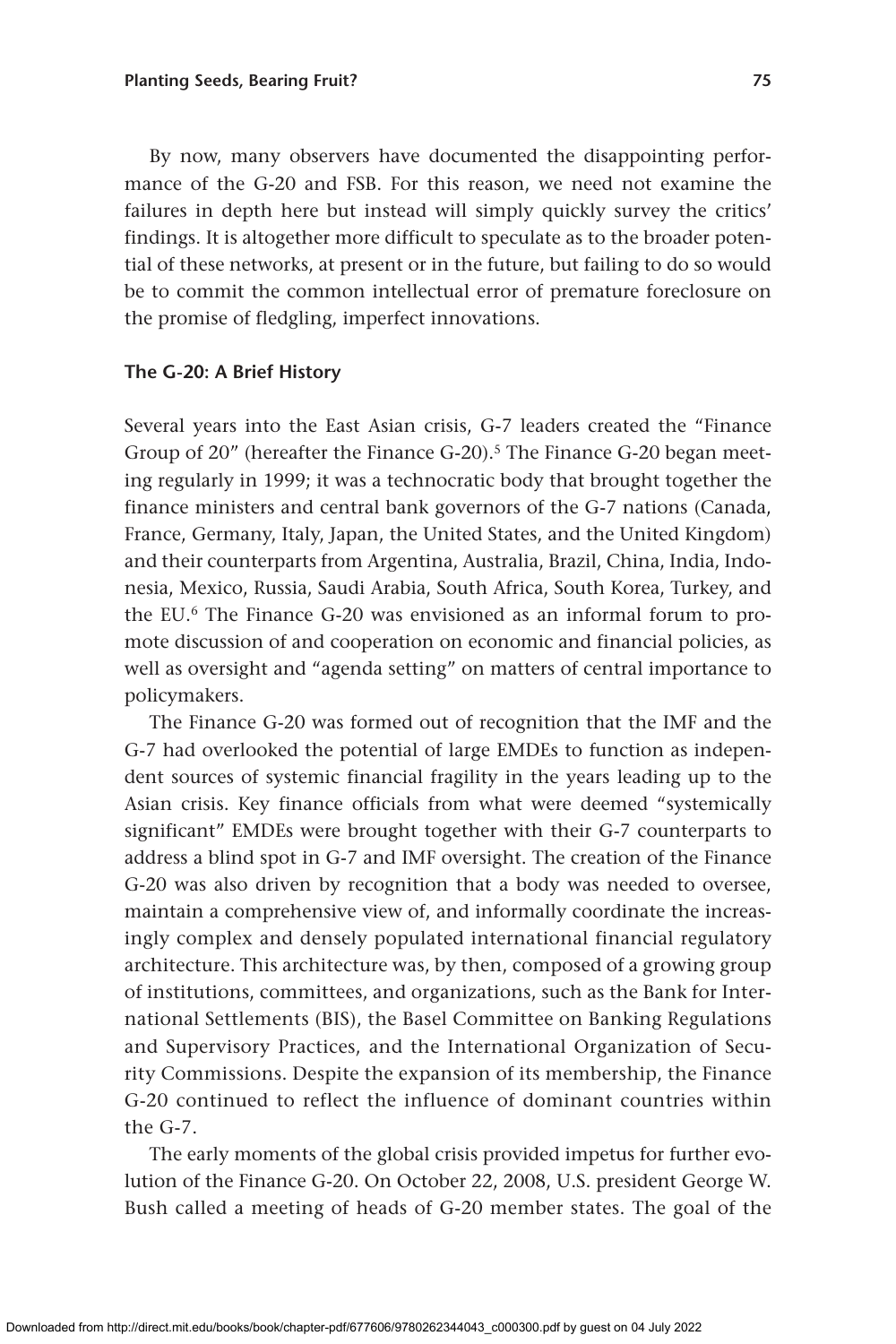By now, many observers have documented the disappointing performance of the G-20 and FSB. For this reason, we need not examine the failures in depth here but instead will simply quickly survey the critics' findings. It is altogether more difficult to speculate as to the broader potential of these networks, at present or in the future, but failing to do so would be to commit the common intellectual error of premature foreclosure on the promise of fledgling, imperfect innovations.

#### **The G-20: A Brief History**

Several years into the East Asian crisis, G-7 leaders created the "Finance Group of 20" (hereafter the Finance G-20).<sup>5</sup> The Finance G-20 began meeting regularly in 1999; it was a technocratic body that brought together the finance ministers and central bank governors of the G-7 nations (Canada, France, Germany, Italy, Japan, the United States, and the United Kingdom) and their counterparts from Argentina, Australia, Brazil, China, India, Indonesia, Mexico, Russia, Saudi Arabia, South Africa, South Korea, Turkey, and the EU.6 The Finance G-20 was envisioned as an informal forum to promote discussion of and cooperation on economic and financial policies, as well as oversight and "agenda setting" on matters of central importance to policymakers.

The Finance G-20 was formed out of recognition that the IMF and the G-7 had overlooked the potential of large EMDEs to function as independent sources of systemic financial fragility in the years leading up to the Asian crisis. Key finance officials from what were deemed "systemically significant" EMDEs were brought together with their G-7 counterparts to address a blind spot in G-7 and IMF oversight. The creation of the Finance G-20 was also driven by recognition that a body was needed to oversee, maintain a comprehensive view of, and informally coordinate the increasingly complex and densely populated international financial regulatory architecture. This architecture was, by then, composed of a growing group of institutions, committees, and organizations, such as the Bank for International Settlements (BIS), the Basel Committee on Banking Regulations and Supervisory Practices, and the International Organization of Security Commissions. Despite the expansion of its membership, the Finance G-20 continued to reflect the influence of dominant countries within the G-7.

The early moments of the global crisis provided impetus for further evolution of the Finance G-20. On October 22, 2008, U.S. president George W. Bush called a meeting of heads of G-20 member states. The goal of the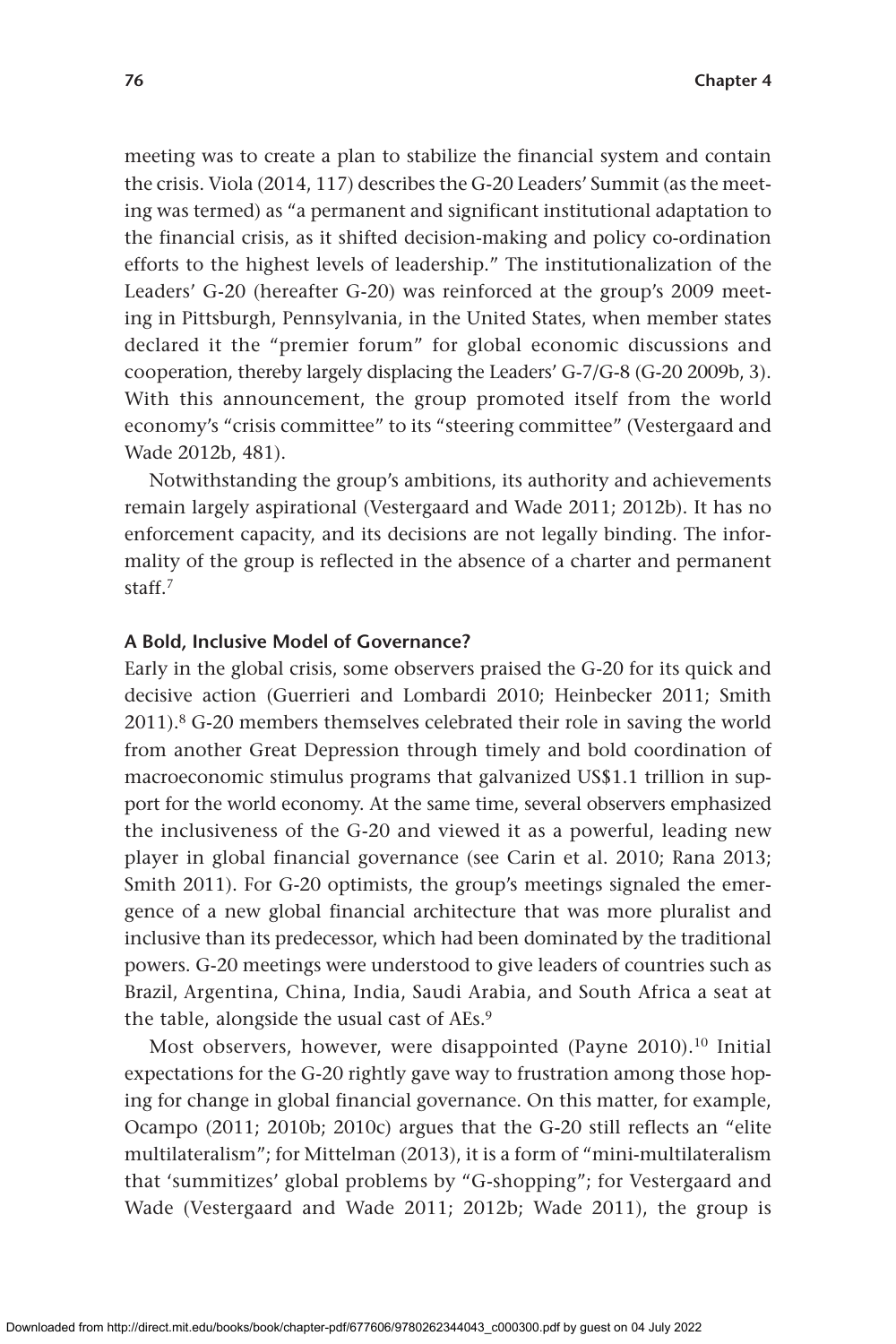meeting was to create a plan to stabilize the financial system and contain the crisis. Viola (2014, 117) describes the G-20 Leaders' Summit (as the meeting was termed) as "a permanent and significant institutional adaptation to the financial crisis, as it shifted decision-making and policy co-ordination efforts to the highest levels of leadership." The institutionalization of the Leaders' G-20 (hereafter G-20) was reinforced at the group's 2009 meeting in Pittsburgh, Pennsylvania, in the United States, when member states declared it the "premier forum" for global economic discussions and cooperation, thereby largely displacing the Leaders' G-7/G-8 (G-20 2009b, 3). With this announcement, the group promoted itself from the world economy's "crisis committee" to its "steering committee" (Vestergaard and Wade 2012b, 481).

Notwithstanding the group's ambitions, its authority and achievements remain largely aspirational (Vestergaard and Wade 2011; 2012b). It has no enforcement capacity, and its decisions are not legally binding. The informality of the group is reflected in the absence of a charter and permanent staff.7

#### **A Bold, Inclusive Model of Governance?**

Early in the global crisis, some observers praised the G-20 for its quick and decisive action (Guerrieri and Lombardi 2010; Heinbecker 2011; Smith 2011).8 G-20 members themselves celebrated their role in saving the world from another Great Depression through timely and bold coordination of macroeconomic stimulus programs that galvanized US\$1.1 trillion in support for the world economy. At the same time, several observers emphasized the inclusiveness of the G-20 and viewed it as a powerful, leading new player in global financial governance (see Carin et al. 2010; Rana 2013; Smith 2011). For G-20 optimists, the group's meetings signaled the emergence of a new global financial architecture that was more pluralist and inclusive than its predecessor, which had been dominated by the traditional powers. G-20 meetings were understood to give leaders of countries such as Brazil, Argentina, China, India, Saudi Arabia, and South Africa a seat at the table, alongside the usual cast of AEs.<sup>9</sup>

Most observers, however, were disappointed (Payne 2010).<sup>10</sup> Initial expectations for the G-20 rightly gave way to frustration among those hoping for change in global financial governance. On this matter, for example, Ocampo (2011; 2010b; 2010c) argues that the G-20 still reflects an "elite multilateralism"; for Mittelman (2013), it is a form of "mini-multilateralism that 'summitizes' global problems by "G-shopping"; for Vestergaard and Wade (Vestergaard and Wade 2011; 2012b; Wade 2011), the group is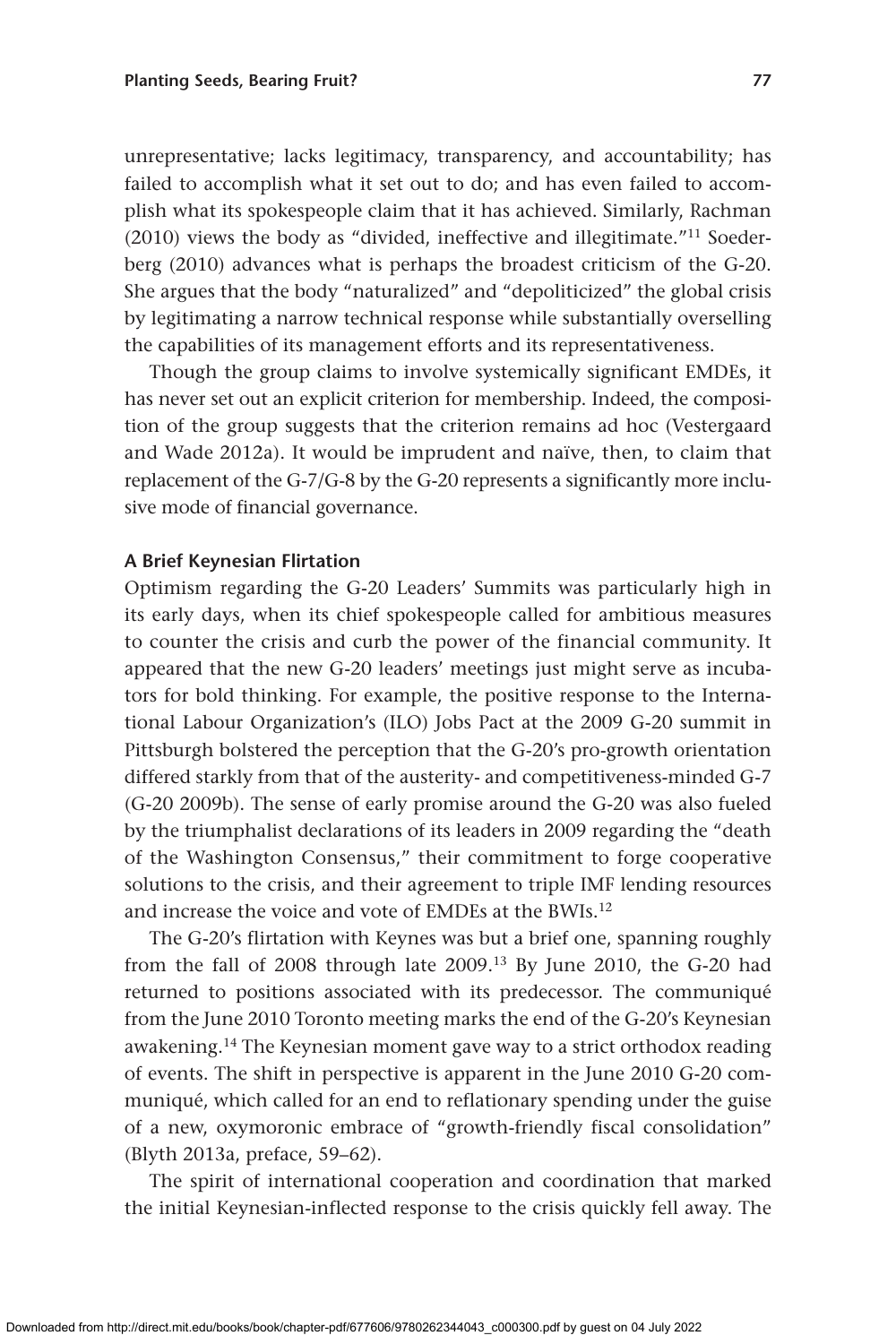unrepresentative; lacks legitimacy, transparency, and accountability; has failed to accomplish what it set out to do; and has even failed to accomplish what its spokespeople claim that it has achieved. Similarly, Rachman (2010) views the body as "divided, ineffective and illegitimate."11 Soederberg (2010) advances what is perhaps the broadest criticism of the G-20. She argues that the body "naturalized" and "depoliticized" the global crisis by legitimating a narrow technical response while substantially overselling the capabilities of its management efforts and its representativeness.

Though the group claims to involve systemically significant EMDEs, it has never set out an explicit criterion for membership. Indeed, the composition of the group suggests that the criterion remains ad hoc (Vestergaard and Wade 2012a). It would be imprudent and naïve, then, to claim that replacement of the G-7/G-8 by the G-20 represents a significantly more inclusive mode of financial governance.

#### **A Brief Keynesian Flirtation**

Optimism regarding the G-20 Leaders' Summits was particularly high in its early days, when its chief spokespeople called for ambitious measures to counter the crisis and curb the power of the financial community. It appeared that the new G-20 leaders' meetings just might serve as incubators for bold thinking. For example, the positive response to the International Labour Organization's (ILO) Jobs Pact at the 2009 G-20 summit in Pittsburgh bolstered the perception that the G-20's pro-growth orientation differed starkly from that of the austerity- and competitiveness-minded G-7 (G-20 2009b). The sense of early promise around the G-20 was also fueled by the triumphalist declarations of its leaders in 2009 regarding the "death of the Washington Consensus," their commitment to forge cooperative solutions to the crisis, and their agreement to triple IMF lending resources and increase the voice and vote of EMDEs at the BWIs.12

The G-20's flirtation with Keynes was but a brief one, spanning roughly from the fall of 2008 through late 2009.13 By June 2010, the G-20 had returned to positions associated with its predecessor. The communiqué from the June 2010 Toronto meeting marks the end of the G-20's Keynesian awakening.14 The Keynesian moment gave way to a strict orthodox reading of events. The shift in perspective is apparent in the June 2010 G-20 communiqué, which called for an end to reflationary spending under the guise of a new, oxymoronic embrace of "growth-friendly fiscal consolidation" (Blyth 2013a, preface, 59–62).

The spirit of international cooperation and coordination that marked the initial Keynesian-inflected response to the crisis quickly fell away. The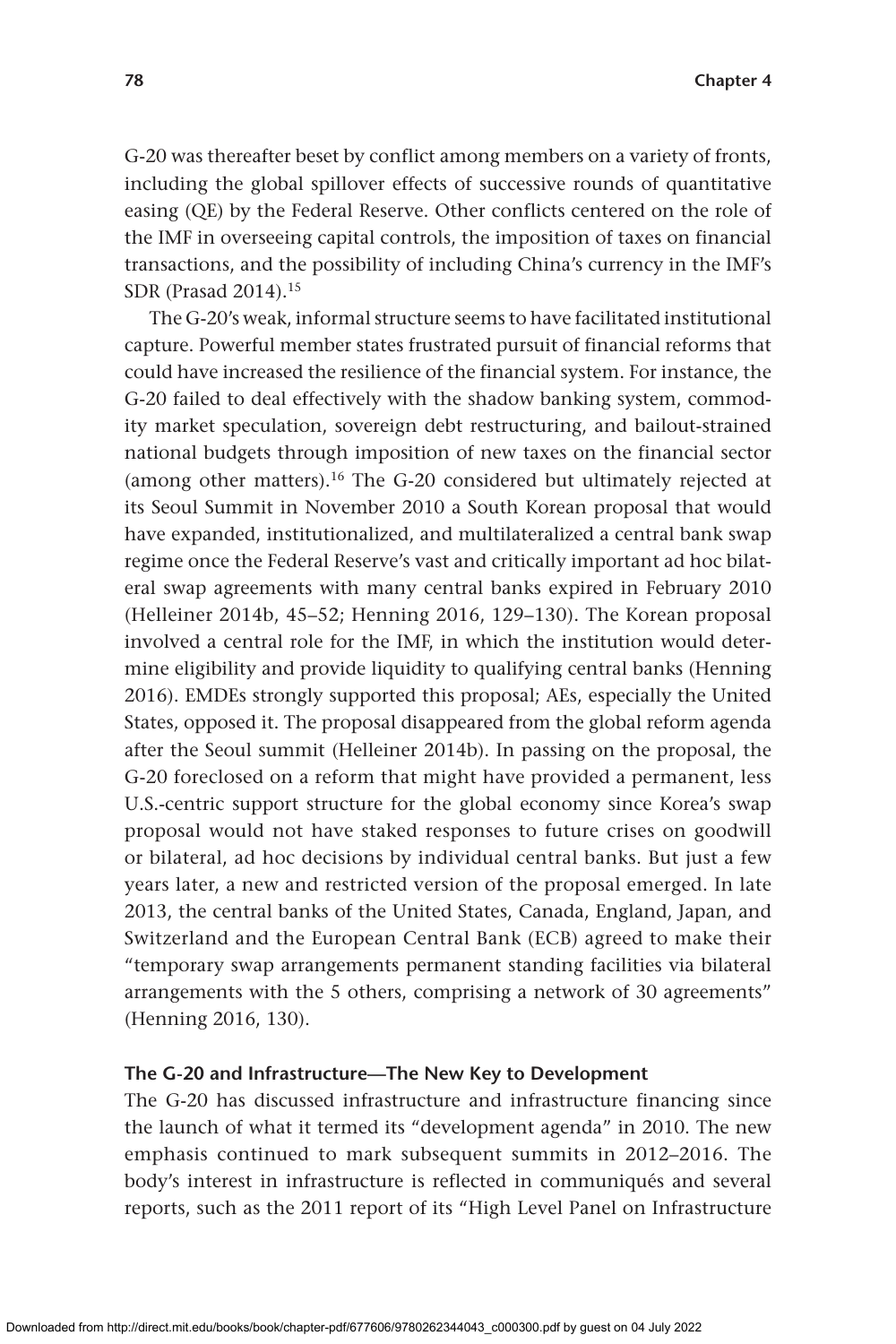G-20 was thereafter beset by conflict among members on a variety of fronts, including the global spillover effects of successive rounds of quantitative easing (QE) by the Federal Reserve. Other conflicts centered on the role of the IMF in overseeing capital controls, the imposition of taxes on financial transactions, and the possibility of including China's currency in the IMF's SDR (Prasad 2014).15

The G-20's weak, informal structure seems to have facilitated institutional capture. Powerful member states frustrated pursuit of financial reforms that could have increased the resilience of the financial system. For instance, the G-20 failed to deal effectively with the shadow banking system, commodity market speculation, sovereign debt restructuring, and bailout-strained national budgets through imposition of new taxes on the financial sector (among other matters).16 The G-20 considered but ultimately rejected at its Seoul Summit in November 2010 a South Korean proposal that would have expanded, institutionalized, and multilateralized a central bank swap regime once the Federal Reserve's vast and critically important ad hoc bilateral swap agreements with many central banks expired in February 2010 (Helleiner 2014b, 45–52; Henning 2016, 129–130). The Korean proposal involved a central role for the IMF, in which the institution would determine eligibility and provide liquidity to qualifying central banks (Henning 2016). EMDEs strongly supported this proposal; AEs, especially the United States, opposed it. The proposal disappeared from the global reform agenda after the Seoul summit (Helleiner 2014b). In passing on the proposal, the G-20 foreclosed on a reform that might have provided a permanent, less U.S.-centric support structure for the global economy since Korea's swap proposal would not have staked responses to future crises on goodwill or bilateral, ad hoc decisions by individual central banks. But just a few years later, a new and restricted version of the proposal emerged. In late 2013, the central banks of the United States, Canada, England, Japan, and Switzerland and the European Central Bank (ECB) agreed to make their "temporary swap arrangements permanent standing facilities via bilateral arrangements with the 5 others, comprising a network of 30 agreements" (Henning 2016, 130).

#### **The G-20 and Infrastructure—The New Key to Development**

The G-20 has discussed infrastructure and infrastructure financing since the launch of what it termed its "development agenda" in 2010. The new emphasis continued to mark subsequent summits in 2012–2016. The body's interest in infrastructure is reflected in communiqués and several reports, such as the 2011 report of its "High Level Panel on Infrastructure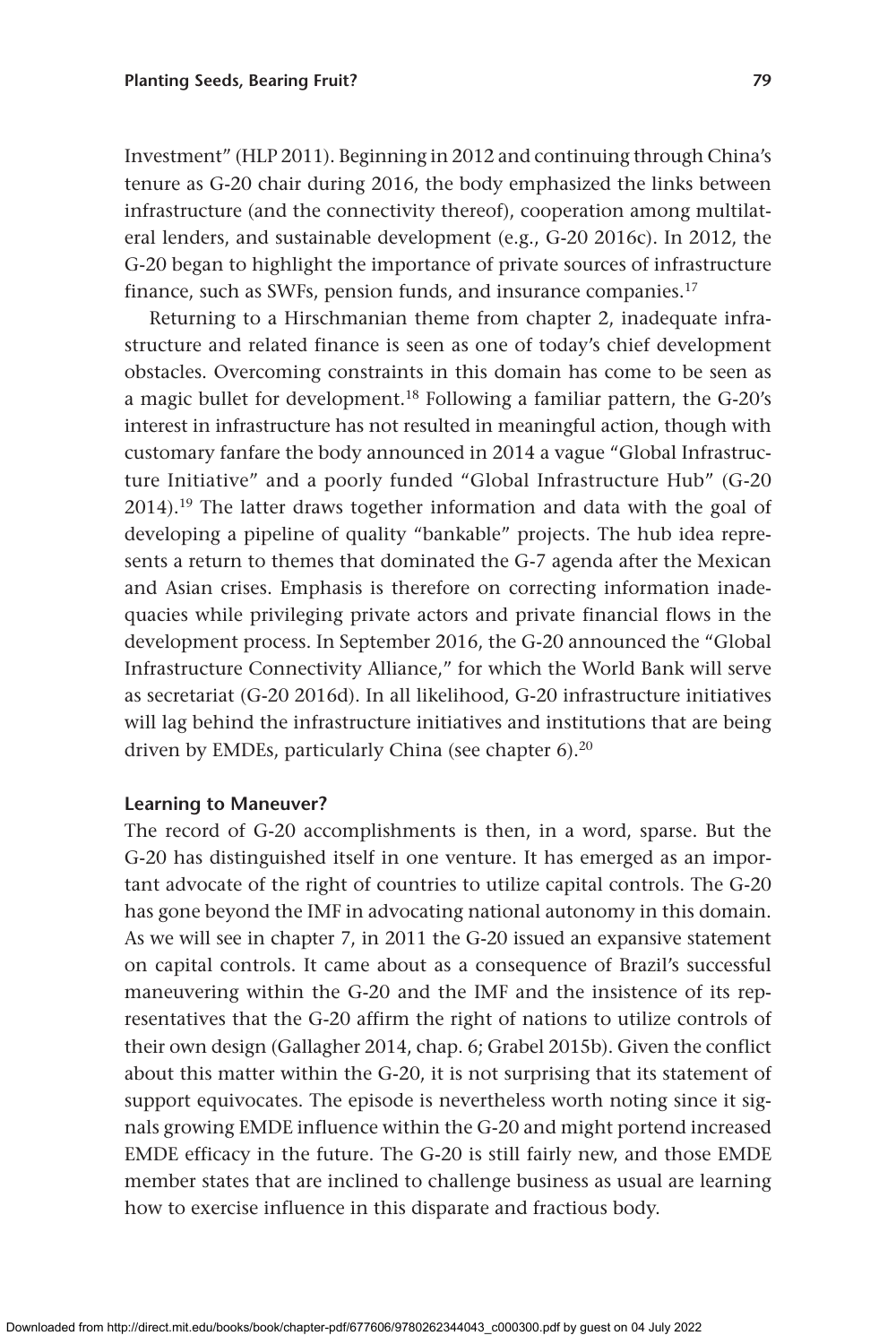Investment" (HLP 2011). Beginning in 2012 and continuing through China's tenure as G-20 chair during 2016, the body emphasized the links between infrastructure (and the connectivity thereof), cooperation among multilateral lenders, and sustainable development (e.g., G-20 2016c). In 2012, the G-20 began to highlight the importance of private sources of infrastructure finance, such as SWFs, pension funds, and insurance companies.<sup>17</sup>

Returning to a Hirschmanian theme from chapter 2, inadequate infrastructure and related finance is seen as one of today's chief development obstacles. Overcoming constraints in this domain has come to be seen as a magic bullet for development.18 Following a familiar pattern, the G-20's interest in infrastructure has not resulted in meaningful action, though with customary fanfare the body announced in 2014 a vague "Global Infrastructure Initiative" and a poorly funded "Global Infrastructure Hub" (G-20 2014).19 The latter draws together information and data with the goal of developing a pipeline of quality "bankable" projects. The hub idea represents a return to themes that dominated the G-7 agenda after the Mexican and Asian crises. Emphasis is therefore on correcting information inadequacies while privileging private actors and private financial flows in the development process. In September 2016, the G-20 announced the "Global Infrastructure Connectivity Alliance," for which the World Bank will serve as secretariat (G-20 2016d). In all likelihood, G-20 infrastructure initiatives will lag behind the infrastructure initiatives and institutions that are being driven by EMDEs, particularly China (see chapter 6).<sup>20</sup>

#### **Learning to Maneuver?**

The record of G-20 accomplishments is then, in a word, sparse. But the G-20 has distinguished itself in one venture. It has emerged as an important advocate of the right of countries to utilize capital controls. The G-20 has gone beyond the IMF in advocating national autonomy in this domain. As we will see in chapter 7, in 2011 the G-20 issued an expansive statement on capital controls. It came about as a consequence of Brazil's successful maneuvering within the G-20 and the IMF and the insistence of its representatives that the G-20 affirm the right of nations to utilize controls of their own design (Gallagher 2014, chap. 6; Grabel 2015b). Given the conflict about this matter within the G-20, it is not surprising that its statement of support equivocates. The episode is nevertheless worth noting since it signals growing EMDE influence within the G-20 and might portend increased EMDE efficacy in the future. The G-20 is still fairly new, and those EMDE member states that are inclined to challenge business as usual are learning how to exercise influence in this disparate and fractious body.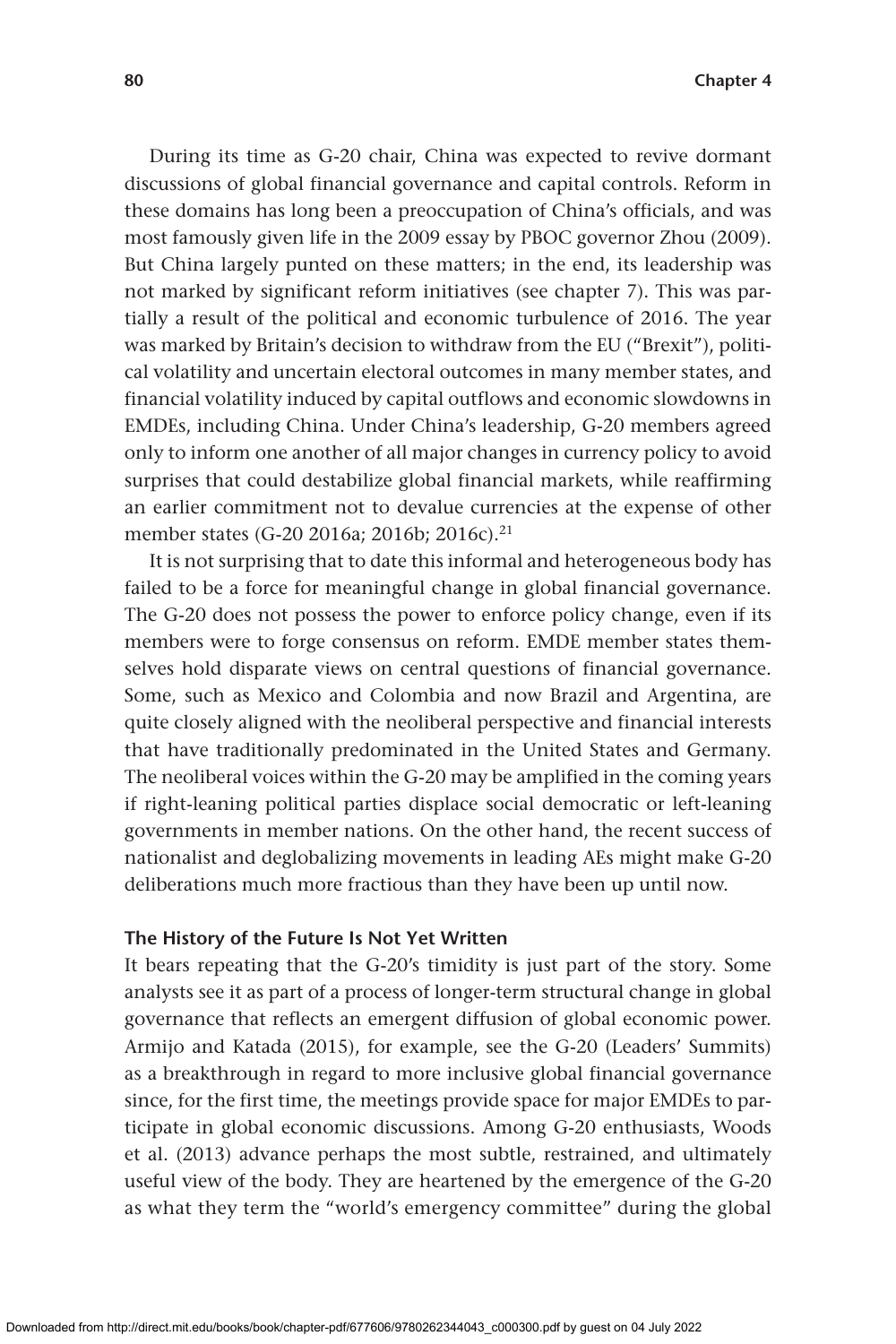During its time as G-20 chair, China was expected to revive dormant discussions of global financial governance and capital controls. Reform in these domains has long been a preoccupation of China's officials, and was most famously given life in the 2009 essay by PBOC governor Zhou (2009). But China largely punted on these matters; in the end, its leadership was not marked by significant reform initiatives (see chapter 7). This was partially a result of the political and economic turbulence of 2016. The year was marked by Britain's decision to withdraw from the EU ("Brexit"), political volatility and uncertain electoral outcomes in many member states, and financial volatility induced by capital outflows and economic slowdowns in EMDEs, including China. Under China's leadership, G-20 members agreed only to inform one another of all major changes in currency policy to avoid surprises that could destabilize global financial markets, while reaffirming an earlier commitment not to devalue currencies at the expense of other member states (G-20 2016a; 2016b; 2016c).<sup>21</sup>

It is not surprising that to date this informal and heterogeneous body has failed to be a force for meaningful change in global financial governance. The G-20 does not possess the power to enforce policy change, even if its members were to forge consensus on reform. EMDE member states themselves hold disparate views on central questions of financial governance. Some, such as Mexico and Colombia and now Brazil and Argentina, are quite closely aligned with the neoliberal perspective and financial interests that have traditionally predominated in the United States and Germany. The neoliberal voices within the G-20 may be amplified in the coming years if right-leaning political parties displace social democratic or left-leaning governments in member nations. On the other hand, the recent success of nationalist and deglobalizing movements in leading AEs might make G-20 deliberations much more fractious than they have been up until now.

#### **The History of the Future Is Not Yet Written**

It bears repeating that the G-20's timidity is just part of the story. Some analysts see it as part of a process of longer-term structural change in global governance that reflects an emergent diffusion of global economic power. Armijo and Katada (2015), for example, see the G-20 (Leaders' Summits) as a breakthrough in regard to more inclusive global financial governance since, for the first time, the meetings provide space for major EMDEs to participate in global economic discussions. Among G-20 enthusiasts, Woods et al. (2013) advance perhaps the most subtle, restrained, and ultimately useful view of the body. They are heartened by the emergence of the G-20 as what they term the "world's emergency committee" during the global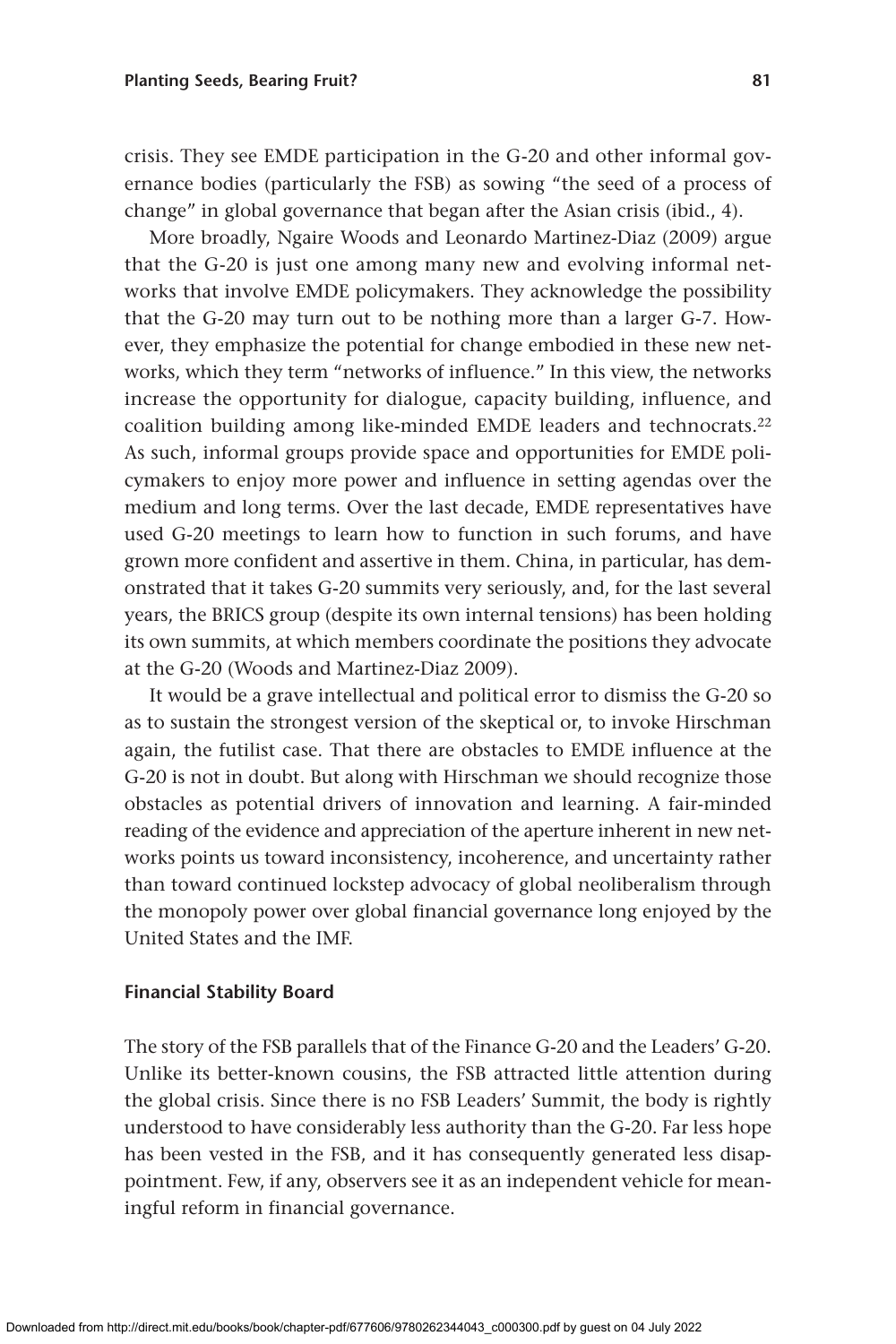crisis. They see EMDE participation in the G-20 and other informal governance bodies (particularly the FSB) as sowing "the seed of a process of change" in global governance that began after the Asian crisis (ibid., 4).

More broadly, Ngaire Woods and Leonardo Martinez-Diaz (2009) argue that the G-20 is just one among many new and evolving informal networks that involve EMDE policymakers. They acknowledge the possibility that the G-20 may turn out to be nothing more than a larger G-7. However, they emphasize the potential for change embodied in these new networks, which they term "networks of influence." In this view, the networks increase the opportunity for dialogue, capacity building, influence, and coalition building among like-minded EMDE leaders and technocrats.<sup>22</sup> As such, informal groups provide space and opportunities for EMDE policymakers to enjoy more power and influence in setting agendas over the medium and long terms. Over the last decade, EMDE representatives have used G-20 meetings to learn how to function in such forums, and have grown more confident and assertive in them. China, in particular, has demonstrated that it takes G-20 summits very seriously, and, for the last several years, the BRICS group (despite its own internal tensions) has been holding its own summits, at which members coordinate the positions they advocate at the G-20 (Woods and Martinez-Diaz 2009).

It would be a grave intellectual and political error to dismiss the G-20 so as to sustain the strongest version of the skeptical or, to invoke Hirschman again, the futilist case. That there are obstacles to EMDE influence at the G-20 is not in doubt. But along with Hirschman we should recognize those obstacles as potential drivers of innovation and learning. A fair-minded reading of the evidence and appreciation of the aperture inherent in new networks points us toward inconsistency, incoherence, and uncertainty rather than toward continued lockstep advocacy of global neoliberalism through the monopoly power over global financial governance long enjoyed by the United States and the IMF.

#### **Financial Stability Board**

The story of the FSB parallels that of the Finance G-20 and the Leaders' G-20. Unlike its better-known cousins, the FSB attracted little attention during the global crisis. Since there is no FSB Leaders' Summit, the body is rightly understood to have considerably less authority than the G-20. Far less hope has been vested in the FSB, and it has consequently generated less disappointment. Few, if any, observers see it as an independent vehicle for meaningful reform in financial governance.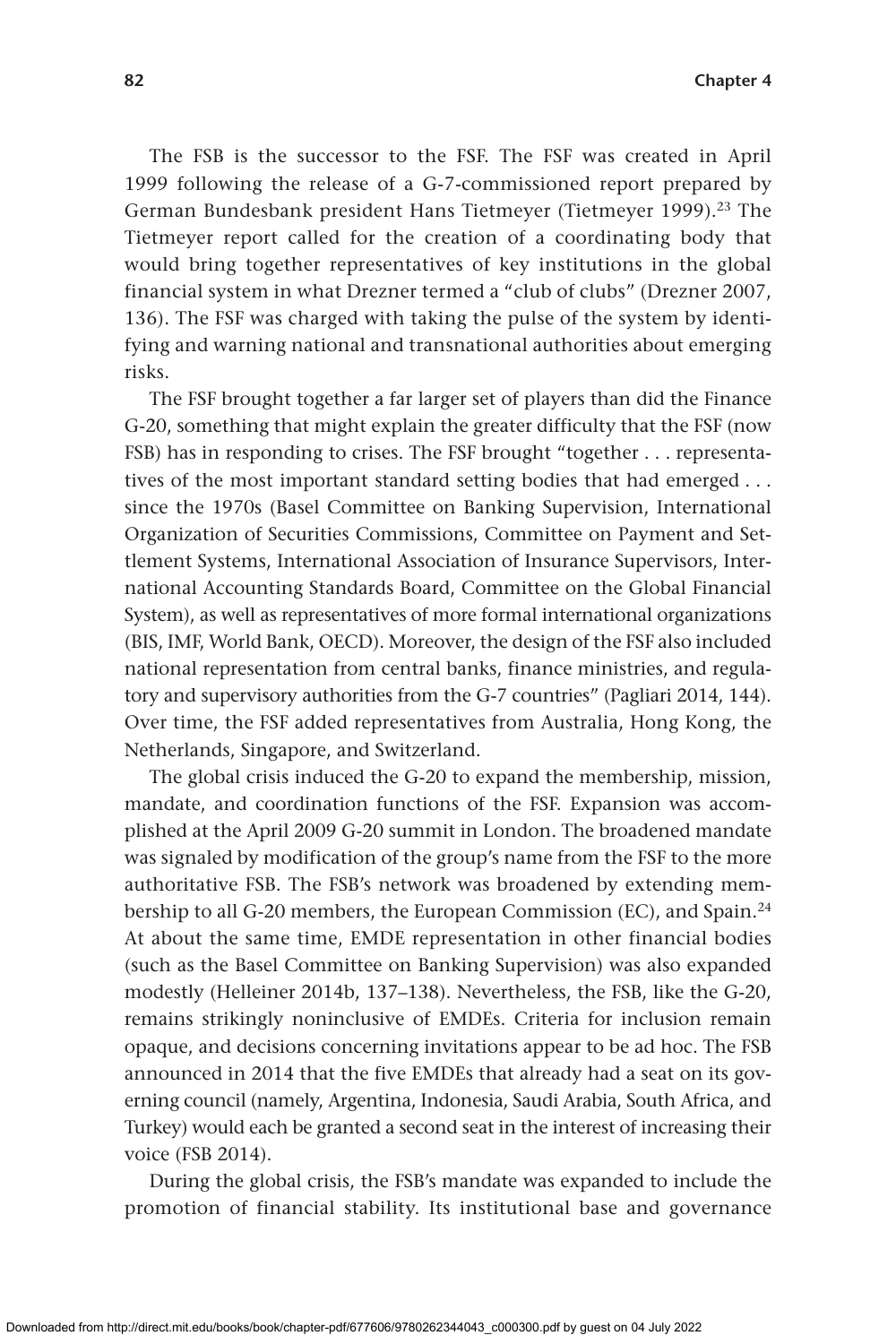The FSB is the successor to the FSF. The FSF was created in April 1999 following the release of a G-7-commissioned report prepared by German Bundesbank president Hans Tietmeyer (Tietmeyer 1999).<sup>23</sup> The Tietmeyer report called for the creation of a coordinating body that would bring together representatives of key institutions in the global financial system in what Drezner termed a "club of clubs" (Drezner 2007, 136). The FSF was charged with taking the pulse of the system by identifying and warning national and transnational authorities about emerging risks.

The FSF brought together a far larger set of players than did the Finance G-20, something that might explain the greater difficulty that the FSF (now FSB) has in responding to crises. The FSF brought "together . . . representatives of the most important standard setting bodies that had emerged . . . since the 1970s (Basel Committee on Banking Supervision, International Organization of Securities Commissions, Committee on Payment and Settlement Systems, International Association of Insurance Supervisors, International Accounting Standards Board, Committee on the Global Financial System), as well as representatives of more formal international organizations (BIS, IMF, World Bank, OECD). Moreover, the design of the FSF also included national representation from central banks, finance ministries, and regulatory and supervisory authorities from the G-7 countries" (Pagliari 2014, 144). Over time, the FSF added representatives from Australia, Hong Kong, the Netherlands, Singapore, and Switzerland.

The global crisis induced the G-20 to expand the membership, mission, mandate, and coordination functions of the FSF. Expansion was accomplished at the April 2009 G-20 summit in London. The broadened mandate was signaled by modification of the group's name from the FSF to the more authoritative FSB. The FSB's network was broadened by extending membership to all G-20 members, the European Commission (EC), and Spain.24 At about the same time, EMDE representation in other financial bodies (such as the Basel Committee on Banking Supervision) was also expanded modestly (Helleiner 2014b, 137–138). Nevertheless, the FSB, like the G-20, remains strikingly noninclusive of EMDEs. Criteria for inclusion remain opaque, and decisions concerning invitations appear to be ad hoc. The FSB announced in 2014 that the five EMDEs that already had a seat on its governing council (namely, Argentina, Indonesia, Saudi Arabia, South Africa, and Turkey) would each be granted a second seat in the interest of increasing their voice (FSB 2014).

During the global crisis, the FSB's mandate was expanded to include the promotion of financial stability. Its institutional base and governance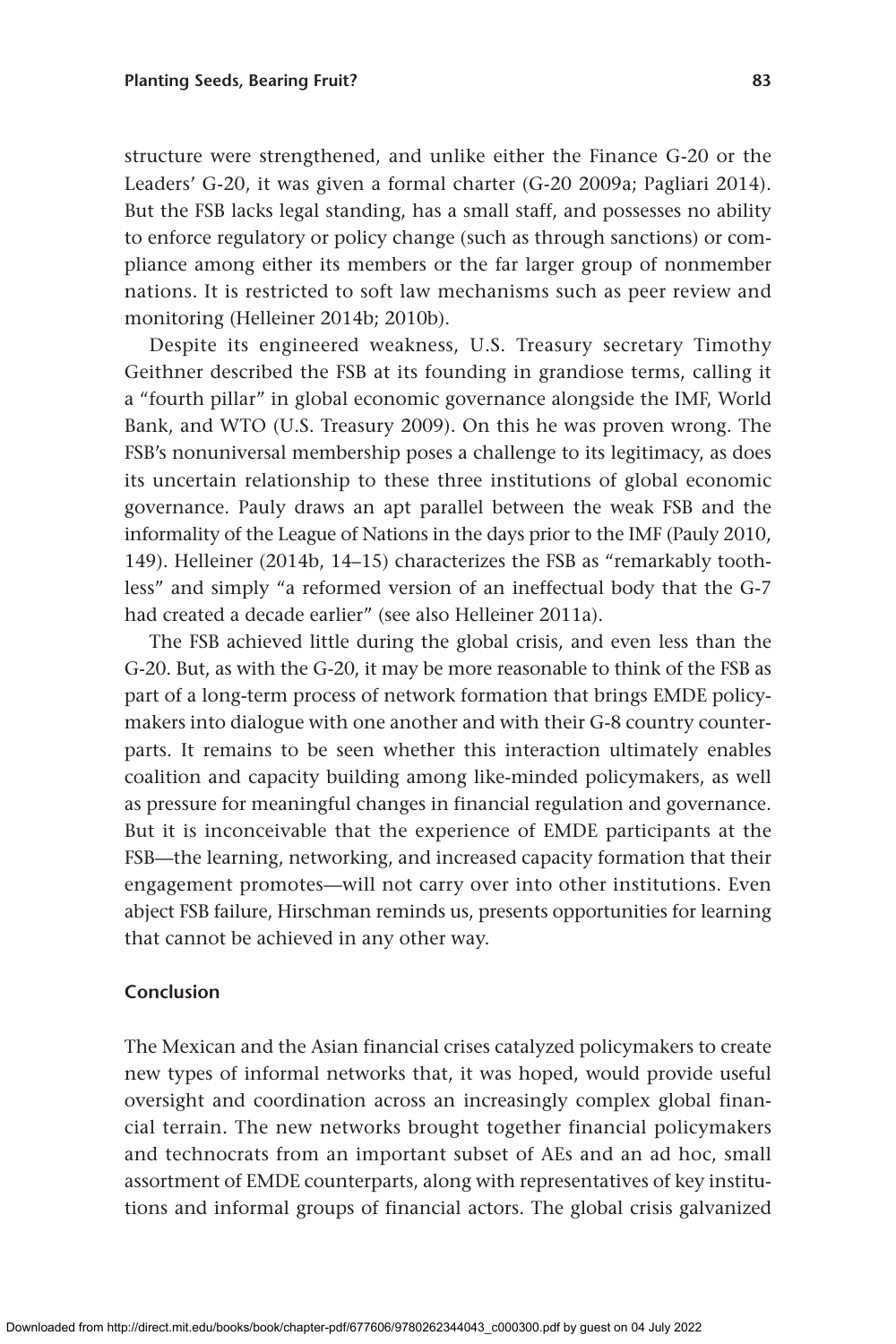structure were strengthened, and unlike either the Finance G-20 or the Leaders' G-20, it was given a formal charter (G-20 2009a; Pagliari 2014). But the FSB lacks legal standing, has a small staff, and possesses no ability to enforce regulatory or policy change (such as through sanctions) or compliance among either its members or the far larger group of nonmember nations. It is restricted to soft law mechanisms such as peer review and monitoring (Helleiner 2014b; 2010b).

Despite its engineered weakness, U.S. Treasury secretary Timothy Geithner described the FSB at its founding in grandiose terms, calling it a "fourth pillar" in global economic governance alongside the IMF, World Bank, and WTO (U.S. Treasury 2009). On this he was proven wrong. The FSB's nonuniversal membership poses a challenge to its legitimacy, as does its uncertain relationship to these three institutions of global economic governance. Pauly draws an apt parallel between the weak FSB and the informality of the League of Nations in the days prior to the IMF (Pauly 2010, 149). Helleiner (2014b, 14–15) characterizes the FSB as "remarkably toothless" and simply "a reformed version of an ineffectual body that the G-7 had created a decade earlier" (see also Helleiner 2011a).

The FSB achieved little during the global crisis, and even less than the G-20. But, as with the G-20, it may be more reasonable to think of the FSB as part of a long-term process of network formation that brings EMDE policymakers into dialogue with one another and with their G-8 country counterparts. It remains to be seen whether this interaction ultimately enables coalition and capacity building among like-minded policymakers, as well as pressure for meaningful changes in financial regulation and governance. But it is inconceivable that the experience of EMDE participants at the FSB—the learning, networking, and increased capacity formation that their engagement promotes—will not carry over into other institutions. Even abject FSB failure, Hirschman reminds us, presents opportunities for learning that cannot be achieved in any other way.

#### **Conclusion**

The Mexican and the Asian financial crises catalyzed policymakers to create new types of informal networks that, it was hoped, would provide useful oversight and coordination across an increasingly complex global financial terrain. The new networks brought together financial policymakers and technocrats from an important subset of AEs and an ad hoc, small assortment of EMDE counterparts, along with representatives of key institutions and informal groups of financial actors. The global crisis galvanized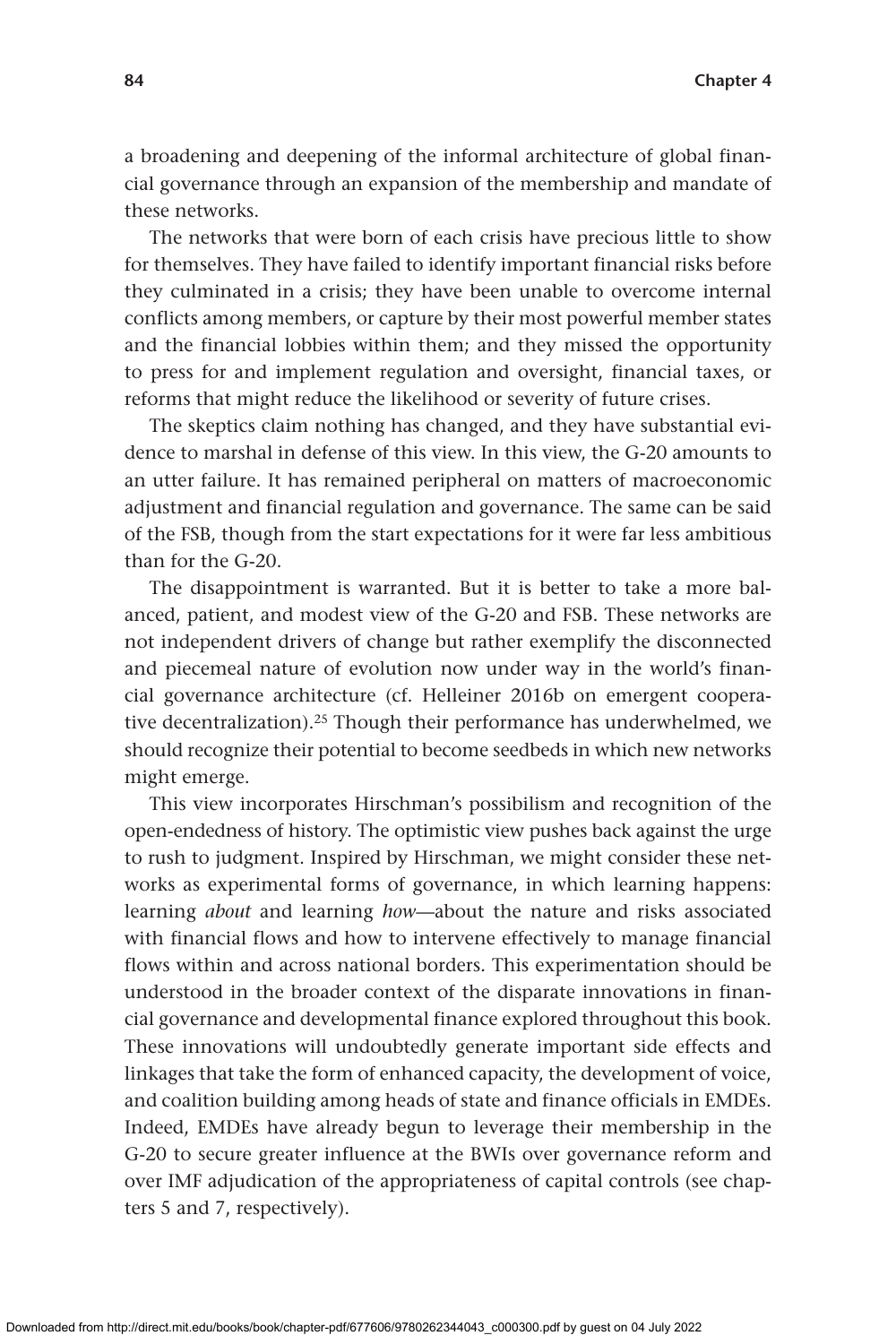a broadening and deepening of the informal architecture of global financial governance through an expansion of the membership and mandate of these networks.

The networks that were born of each crisis have precious little to show for themselves. They have failed to identify important financial risks before they culminated in a crisis; they have been unable to overcome internal conflicts among members, or capture by their most powerful member states and the financial lobbies within them; and they missed the opportunity to press for and implement regulation and oversight, financial taxes, or reforms that might reduce the likelihood or severity of future crises.

The skeptics claim nothing has changed, and they have substantial evidence to marshal in defense of this view. In this view, the G-20 amounts to an utter failure. It has remained peripheral on matters of macroeconomic adjustment and financial regulation and governance. The same can be said of the FSB, though from the start expectations for it were far less ambitious than for the G-20.

The disappointment is warranted. But it is better to take a more balanced, patient, and modest view of the G-20 and FSB. These networks are not independent drivers of change but rather exemplify the disconnected and piecemeal nature of evolution now under way in the world's financial governance architecture (cf. Helleiner 2016b on emergent cooperative decentralization).25 Though their performance has underwhelmed, we should recognize their potential to become seedbeds in which new networks might emerge.

This view incorporates Hirschman's possibilism and recognition of the open-endedness of history. The optimistic view pushes back against the urge to rush to judgment. Inspired by Hirschman, we might consider these networks as experimental forms of governance, in which learning happens: learning *about* and learning *how*—about the nature and risks associated with financial flows and how to intervene effectively to manage financial flows within and across national borders*.* This experimentation should be understood in the broader context of the disparate innovations in financial governance and developmental finance explored throughout this book. These innovations will undoubtedly generate important side effects and linkages that take the form of enhanced capacity, the development of voice, and coalition building among heads of state and finance officials in EMDEs. Indeed, EMDEs have already begun to leverage their membership in the G-20 to secure greater influence at the BWIs over governance reform and over IMF adjudication of the appropriateness of capital controls (see chapters 5 and 7, respectively).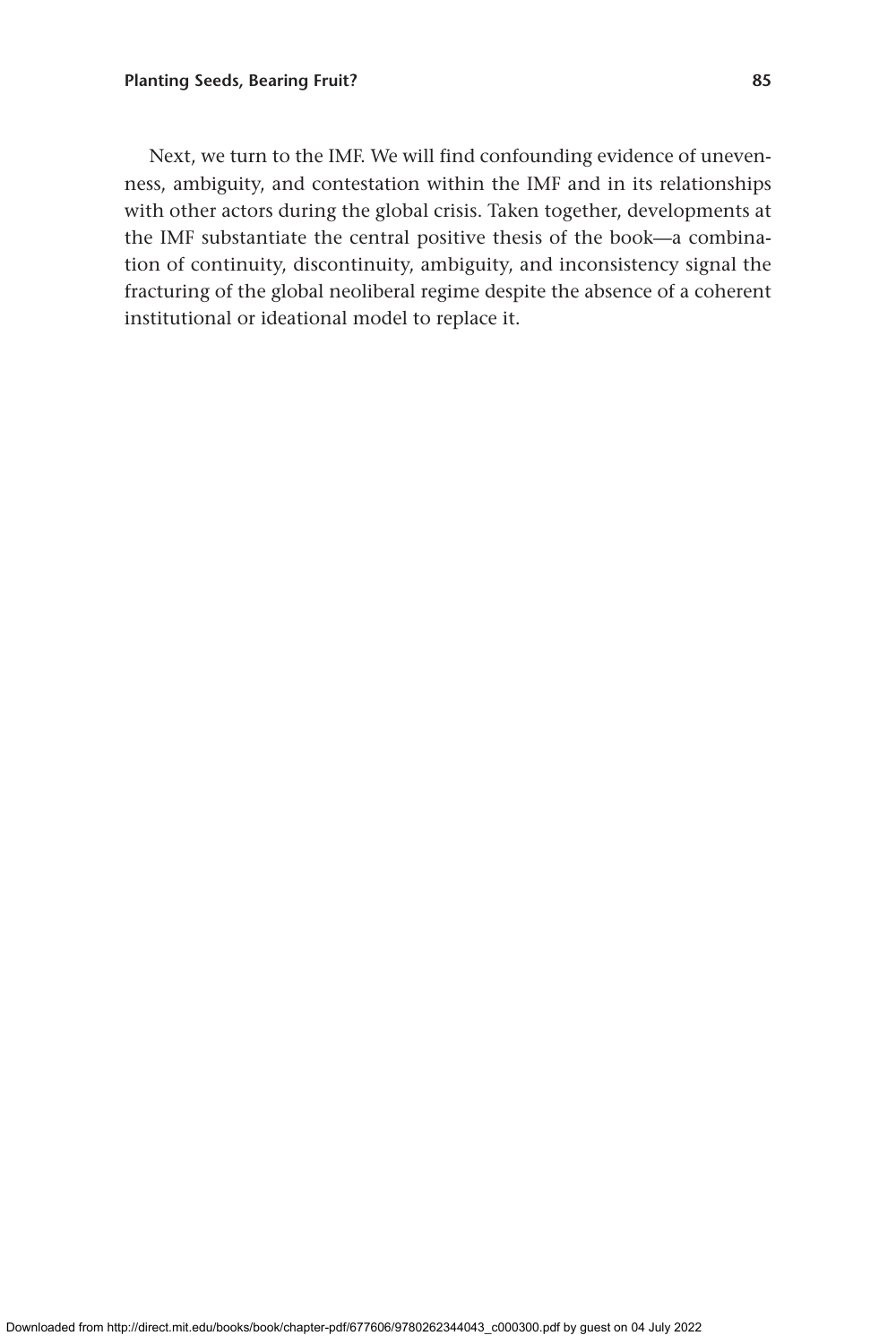Next, we turn to the IMF. We will find confounding evidence of unevenness, ambiguity, and contestation within the IMF and in its relationships with other actors during the global crisis. Taken together, developments at the IMF substantiate the central positive thesis of the book—a combination of continuity, discontinuity, ambiguity, and inconsistency signal the fracturing of the global neoliberal regime despite the absence of a coherent institutional or ideational model to replace it.